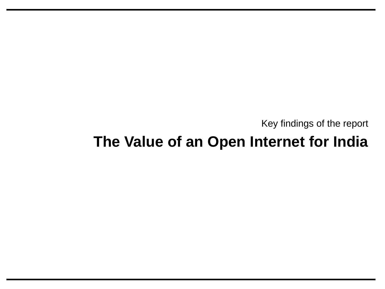Key findings of the report

# **The Value of an Open Internet for India**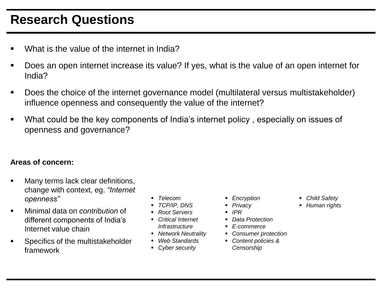### **Research Questions**

- What is the value of the internet in India?
- Does an open internet increase its value? If yes, what is the value of an open internet for India?
- Does the choice of the internet governance model (multilateral versus multistakeholder) influence openness and consequently the value of the internet?
- What could be the key components of India's internet policy , especially on issues of openness and governance?

#### **Areas of concern:**

- **Many terms lack clear definitions,** change with context, eg. *"Internet openness"*
- Minimal data on *contribution* of different components of India's Internet value chain
- Specifics of the multistakeholder framework
- *Telecom*
- *TCP/IP, DNS*
- *Root Servers*
- *Critical Internet Infrastructure*
- *Network Neutrality*
- *Web Standards*
- *Cyber security*
- *Encryption*
- *Privacy*
- *IPR*
- *Data Protection*
- *E-commerce*
- *Consumer protection*
- *Content policies & Censorship*
- *Child Safety*
- *Human rights*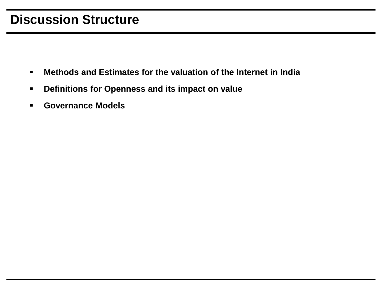#### **Discussion Structure**

- **Methods and Estimates for the valuation of the Internet in India**
- **Definitions for Openness and its impact on value**
- **Governance Models**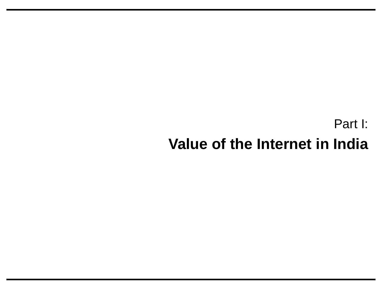# Part I: **Value of the Internet in India**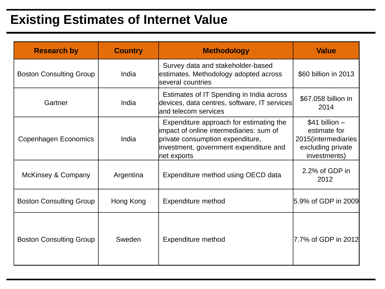## **Existing Estimates of Internet Value**

| <b>Research by</b>             | <b>Country</b> | <b>Methodology</b>                                                                                                                                                              | <b>Value</b>                                                                                  |
|--------------------------------|----------------|---------------------------------------------------------------------------------------------------------------------------------------------------------------------------------|-----------------------------------------------------------------------------------------------|
| <b>Boston Consulting Group</b> | India          | Survey data and stakeholder-based<br>estimates. Methodology adopted across<br>several countries                                                                                 | \$60 billion in 2013                                                                          |
| Gartner                        | India          | Estimates of IT Spending in India across<br>devices, data centres, software, IT services<br>and telecom services                                                                | \$67.058 billion in<br>2014                                                                   |
| Copenhagen Economics           | India          | Expenditure approach for estimating the<br>impact of online intermediaries: sum of<br>private consumption expenditure,<br>investment, government expenditure and<br>net exports | $$41$ billion $-$<br>estimate for<br>2015(intermediaries<br>excluding private<br>investments) |
| McKinsey & Company             | Argentina      | Expenditure method using OECD data                                                                                                                                              | 2.2% of GDP in<br>2012                                                                        |
| <b>Boston Consulting Group</b> | Hong Kong      | <b>Expenditure method</b>                                                                                                                                                       | l5.9% of GDP in 2009l                                                                         |
| <b>Boston Consulting Group</b> | Sweden         | <b>Expenditure method</b>                                                                                                                                                       | 7.7% of GDP in 2012                                                                           |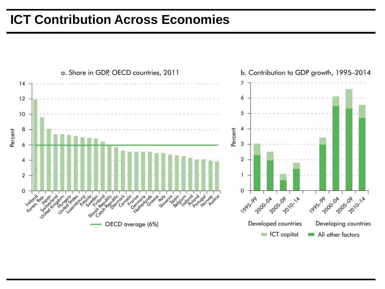### **ICT Contribution Across Economies**

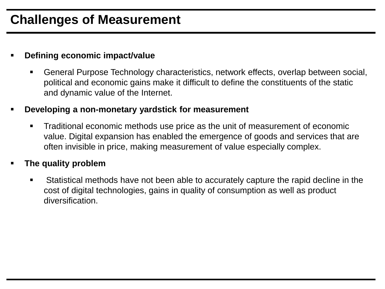### **Challenges of Measurement**

#### **Defining economic impact/value**

 General Purpose Technology characteristics, network effects, overlap between social, political and economic gains make it difficult to define the constituents of the static and dynamic value of the Internet.

#### **Developing a non-monetary yardstick for measurement**

 Traditional economic methods use price as the unit of measurement of economic value. Digital expansion has enabled the emergence of goods and services that are often invisible in price, making measurement of value especially complex.

#### **The quality problem**

 Statistical methods have not been able to accurately capture the rapid decline in the cost of digital technologies, gains in quality of consumption as well as product diversification.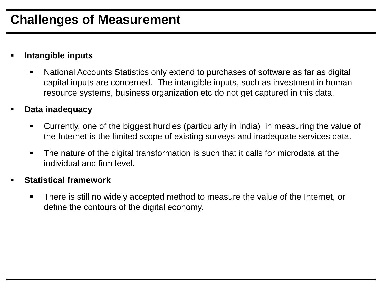#### **Intangible inputs**

- National Accounts Statistics only extend to purchases of software as far as digital capital inputs are concerned. The intangible inputs, such as investment in human resource systems, business organization etc do not get captured in this data.
- **Data inadequacy**
	- Currently, one of the biggest hurdles (particularly in India) in measuring the value of the Internet is the limited scope of existing surveys and inadequate services data.
	- The nature of the digital transformation is such that it calls for microdata at the individual and firm level.

#### **Statistical framework**

 There is still no widely accepted method to measure the value of the Internet, or define the contours of the digital economy.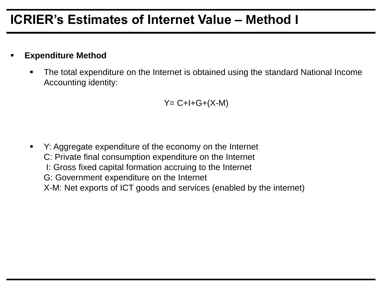### **ICRIER's Estimates of Internet Value – Method I**

#### **Expenditure Method**

 The total expenditure on the Internet is obtained using the standard National Income Accounting identity:

$$
Y = C + I + G + (X - M)
$$

<span id="page-8-0"></span> Y: Aggregate expenditure of the economy on the Internet C: Private final consumption expenditure on the Internet I: Gross fixed capital formation accruing to the Internet G: Government expenditure on the Internet X-M: Net exports of ICT goods and services (enabled by the internet)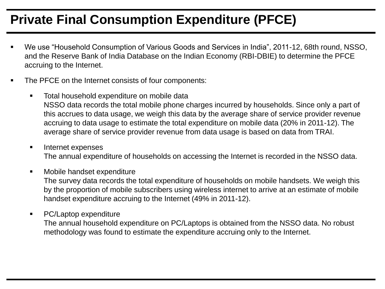# **Private Final Consumption Expenditure (PFCE)**

- We use "Household Consumption of Various Goods and Services in India", 2011-12, 68th round, NSSO, and the Reserve Bank of India Database on the Indian Economy (RBI-DBIE) to determine the PFCE accruing to the Internet.
- The PFCE on the Internet consists of four components:
	- **Total household expenditure on mobile data** NSSO data records the total mobile phone charges incurred by households. Since only a part of this accrues to data usage, we weigh this data by the average share of service provider revenue accruing to data usage to estimate the total expenditure on mobile data (20% in 2011-12). The average share of service provider revenue from data usage is based on data from TRAI.
	- **Internet expenses**

The annual expenditure of households on accessing the Internet is recorded in the NSSO data.

**Nobile handset expenditure** 

The survey data records the total expenditure of households on mobile handsets. We weigh this by the proportion of mobile subscribers using wireless internet to arrive at an estimate of mobile handset expenditure accruing to the Internet (49% in 2011-12).

<span id="page-9-0"></span>• PC/Laptop expenditure The annual household expenditure on PC/Laptops is obtained from the NSSO data. No robust methodology was found to estimate the expenditure accruing only to the Internet.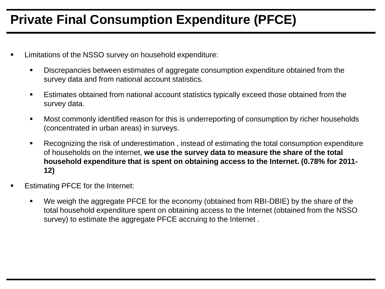## **Private Final Consumption Expenditure (PFCE)**

- Limitations of the NSSO survey on household expenditure:
	- Discrepancies between estimates of aggregate consumption expenditure obtained from the survey data and from national account statistics.
	- Estimates obtained from national account statistics typically exceed those obtained from the survey data.
	- Most commonly identified reason for this is underreporting of consumption by richer households (concentrated in urban areas) in surveys.
	- Recognizing the risk of underestimation , instead of estimating the total consumption expenditure of households on the internet, **we use the survey data to measure the share of the total household expenditure that is spent on obtaining access to the Internet. (0.78% for 2011- 12)**
- Estimating PFCE for the Internet:
	- We weigh the aggregate PFCE for the economy (obtained from RBI-DBIE) by the share of the total household expenditure spent on obtaining access to the Internet (obtained from the NSSO survey) to estimate the aggregate PFCE accruing to the Internet .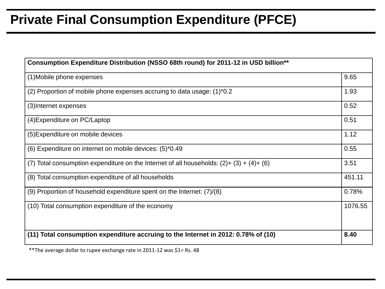### **Private Final Consumption Expenditure (PFCE)**

| Consumption Expenditure Distribution (NSSO 68th round) for 2011-12 in USD billion**          |         |  |
|----------------------------------------------------------------------------------------------|---------|--|
| (1) Mobile phone expenses                                                                    | 9.65    |  |
| (2) Proportion of mobile phone expenses accruing to data usage: (1)*0.2                      | 1.93    |  |
| (3) Internet expenses                                                                        | 0.52    |  |
| (4) Expenditure on PC/Laptop                                                                 | 0.51    |  |
| (5) Expenditure on mobile devices                                                            | 1.12    |  |
| (6) Expenditure on internet on mobile devices: (5)*0.49                                      | 0.55    |  |
| (7) Total consumption expenditure on the Internet of all households: $(2) + (3) + (4) + (6)$ |         |  |
| (8) Total consumption expenditure of all households                                          |         |  |
| (9) Proportion of household expenditure spent on the Internet: $(7)/(8)$                     |         |  |
| (10) Total consumption expenditure of the economy                                            | 1076.55 |  |
|                                                                                              |         |  |
| (11) Total consumption expenditure accruing to the Internet in 2012: 0.78% of (10)           | 8.40    |  |

\*\*The average dollar to rupee exchange rate in 2011-12 was \$1= Rs. 48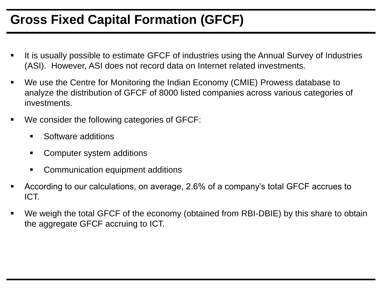## **Gross Fixed Capital Formation (GFCF)**

- It is usually possible to estimate GFCF of industries using the Annual Survey of Industries (ASI). However, ASI does not record data on Internet related investments.
- We use the Centre for Monitoring the Indian Economy (CMIE) Prowess database to analyze the distribution of GFCF of 8000 listed companies across various categories of investments.
- We consider the following categories of GFCF:
	- **Software additions**
	- Computer system additions
	- **EXECOMMUNICATED EQUIPMENT ADDITIONS**
- According to our calculations, on average, 2.6% of a company's total GFCF accrues to ICT.
- We weigh the total GFCF of the economy (obtained from RBI-DBIE) by this share to obtain the aggregate GFCF accruing to ICT.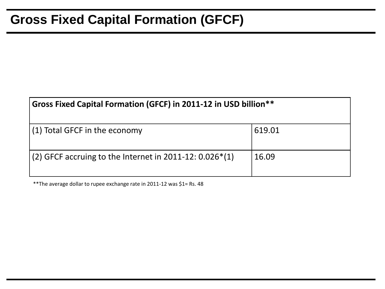### **Gross Fixed Capital Formation (GFCF)**

| Gross Fixed Capital Formation (GFCF) in 2011-12 in USD billion** |        |  |
|------------------------------------------------------------------|--------|--|
| (1) Total GFCF in the economy                                    | 619.01 |  |
| (2) GFCF accruing to the Internet in 2011-12: $0.026*(1)$        | 16.09  |  |

\*\*The average dollar to rupee exchange rate in 2011-12 was \$1= Rs. 48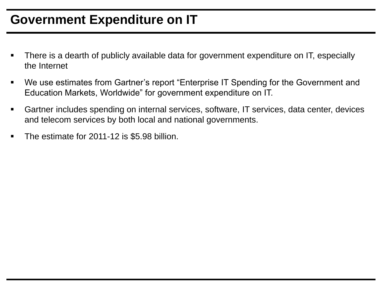### **Government Expenditure on IT**

- There is a dearth of publicly available data for government expenditure on IT, especially the Internet
- We use estimates from Gartner's report "Enterprise IT Spending for the Government and Education Markets, Worldwide" for government expenditure on IT.
- Gartner includes spending on internal services, software, IT services, data center, devices and telecom services by both local and national governments.
- The estimate for 2011-12 is \$5.98 billion.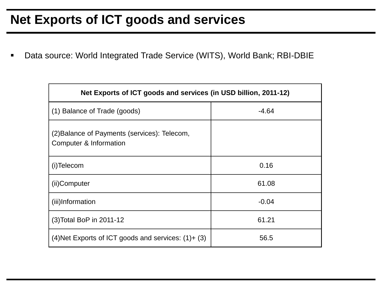#### **Net Exports of ICT goods and services**

Data source: World Integrated Trade Service (WITS), World Bank; RBI-DBIE

| Net Exports of ICT goods and services (in USD billion, 2011-12)        |         |  |
|------------------------------------------------------------------------|---------|--|
| (1) Balance of Trade (goods)                                           | $-4.64$ |  |
| (2) Balance of Payments (services): Telecom,<br>Computer & Information |         |  |
| (i)Telecom                                                             | 0.16    |  |
| (ii)Computer                                                           | 61.08   |  |
| (iii)Information                                                       | $-0.04$ |  |
| (3) Total BoP in 2011-12                                               | 61.21   |  |
| $(4)$ Net Exports of ICT goods and services: $(1) + (3)$               | 56.5    |  |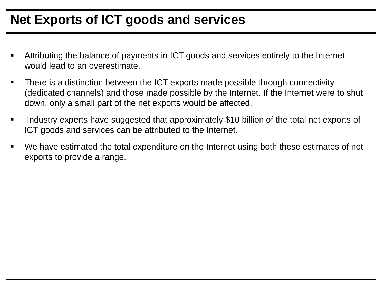### **Net Exports of ICT goods and services**

- Attributing the balance of payments in ICT goods and services entirely to the Internet would lead to an overestimate.
- There is a distinction between the ICT exports made possible through connectivity (dedicated channels) and those made possible by the Internet. If the Internet were to shut down, only a small part of the net exports would be affected.
- **IDED 10.1 Industry experts have suggested that approximately \$10 billion of the total net exports of 4.** ICT goods and services can be attributed to the Internet.
- We have estimated the total expenditure on the Internet using both these estimates of net exports to provide a range.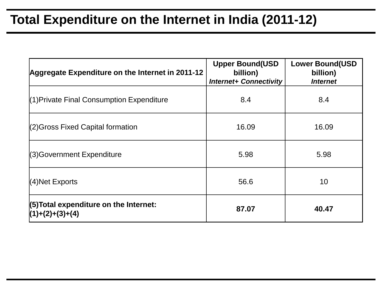### **Total Expenditure on the Internet in India (2011-12)**

| Aggregate Expenditure on the Internet in 2011-12              | <b>Upper Bound(USD</b><br>billion)<br><b>Internet+ Connectivity</b> | <b>Lower Bound(USD</b><br>billion)<br><i><b>Internet</b></i> |
|---------------------------------------------------------------|---------------------------------------------------------------------|--------------------------------------------------------------|
| $(1)$ Private Final Consumption Expenditure                   | 8.4                                                                 | 8.4                                                          |
| $(2)$ Gross Fixed Capital formation                           | 16.09                                                               | 16.09                                                        |
| $(3)$ Government Expenditure                                  | 5.98                                                                | 5.98                                                         |
| $(4)$ Net Exports                                             | 56.6                                                                | 10                                                           |
| $(5)$ Total expenditure on the Internet:<br>$(1)+(2)+(3)+(4)$ | 87.07                                                               | 40.47                                                        |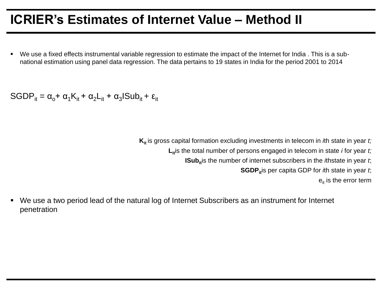#### **ICRIER's Estimates of Internet Value – Method II**

 We use a fixed effects instrumental variable regression to estimate the impact of the Internet for India . This is a subnational estimation using panel data regression. The data pertains to 19 states in India for the period 2001 to 2014

 $\text{SGDP}_{it} = \alpha_{\text{o}} + \alpha_{1}K_{it} + \alpha_{2}L_{it} + \alpha_{3}I \text{Sub}_{it} + \epsilon_{it}$ 

**K**<sub>it</sub> is gross capital formation excluding investments in telecom in *i*th state in year *t*;  $L_i$  is the total number of persons engaged in telecom in state *i* for year *t*; **ISub**<sup>it</sup>s the number of internet subscribers in the *i*thstate in year *t*; **SGDP**<sup>it</sup>is per capita GDP for *i*th state in year *t*;  $e_{it}$  is the error term

 We use a two period lead of the natural log of Internet Subscribers as an instrument for Internet penetration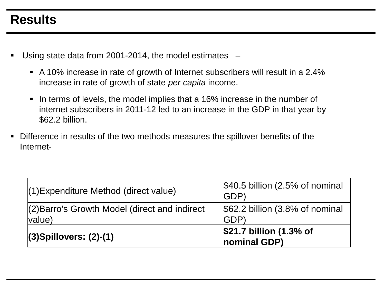### **Results**

- Using state data from 2001-2014, the model estimates
	- A 10% increase in rate of growth of Internet subscribers will result in a 2.4% increase in rate of growth of state *per capita* income.
	- In terms of levels, the model implies that a 16% increase in the number of internet subscribers in 2011-12 led to an increase in the GDP in that year by \$62.2 billion.
- Difference in results of the two methods measures the spillover benefits of the Internet-

| (1) Expenditure Method (direct value)         | $$40.5$ billion (2.5% of nominal<br><b>IGDP</b> ) |  |
|-----------------------------------------------|---------------------------------------------------|--|
| (2) Barro's Growth Model (direct and indirect | $$62.2$ billion $(3.8\%$ of nominal               |  |
| value)                                        | <b>IGDP</b>                                       |  |
|                                               | \$21.7 billion (1.3% of                           |  |
| $(3)$ Spillovers: $(2)-(1)$                   | nominal GDP)                                      |  |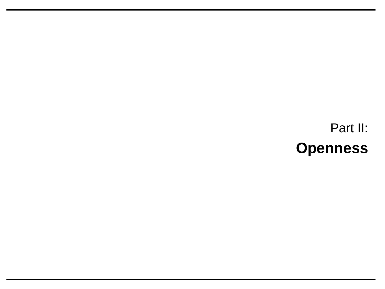Part II: **Openness**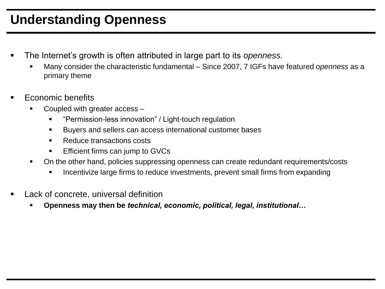### **Understanding Openness**

- The Internet's growth is often attributed in large part to its *openness.* 
	- Many consider the characteristic fundamental Since 2007, 7 IGFs have featured *openness* as a primary theme
- Economic benefits
	- Coupled with greater access
		- "Permission-less innovation" / Light-touch regulation
		- Buyers and sellers can access international customer bases
		- Reduce transactions costs
		- Efficient firms can jump to GVCs
	- On the other hand, policies suppressing openness can create redundant requirements/costs
		- Incentivize large firms to reduce investments, prevent small firms from expanding
- Lack of concrete, universal definition
	- **Openness may then be** *technical, economic, political, legal, institutional…*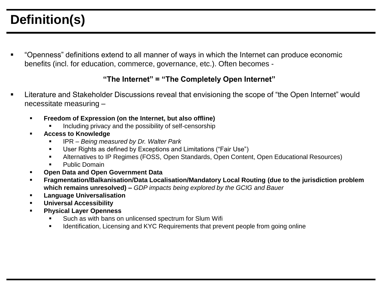"Openness" definitions extend to all manner of ways in which the Internet can produce economic benefits (incl. for education, commerce, governance, etc.). Often becomes -

#### **"The Internet" = "The Completely Open Internet"**

- Literature and Stakeholder Discussions reveal that envisioning the scope of "the Open Internet" would necessitate measuring –
	- **Freedom of Expression (on the Internet, but also offline)**
		- Including privacy and the possibility of self-censorship
	- **Access to Knowledge**
		- IPR *Being measured by Dr. Walter Park*
		- User Rights as defined by Exceptions and Limitations ("Fair Use")
		- Alternatives to IP Regimes (FOSS, Open Standards, Open Content, Open Educational Resources)
		- Public Domain
	- **Open Data and Open Government Data**
	- **Fragmentation/Balkanisation/Data Localisation/Mandatory Local Routing (due to the jurisdiction problem which remains unresolved) –** *GDP impacts being explored by the GCIG and Bauer*
	- **Language Universalisation**
	- **Universal Accessibility**
	- **Physical Layer Openness**
		- Such as with bans on unlicensed spectrum for Slum Wifi
		- **IDENTIFY IDENTIFY IS A THE IDENTIFY IS A THE INCORDITY IS A THE INCORDITY IS A THE ISLE ISLES** Interiors and inc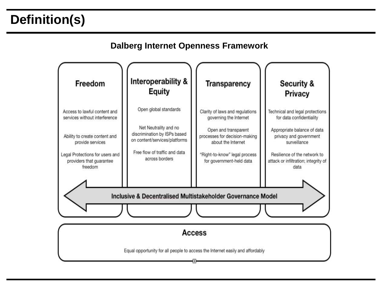#### **Dalberg Internet Openness Framework**

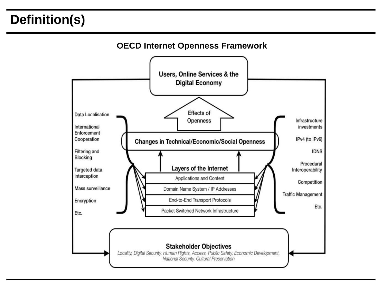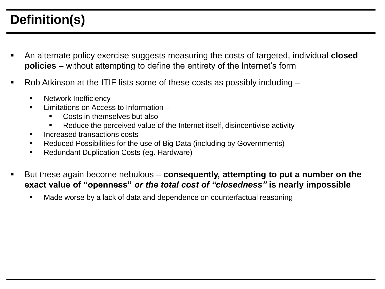- An alternate policy exercise suggests measuring the costs of targeted, individual **closed policies –** without attempting to define the entirety of the Internet's form
- Rob Atkinson at the ITIF lists some of these costs as possibly including  $-$ 
	- **Network Inefficiency**
	- **Limitations on Access to Information** 
		- Costs in themselves but also
		- Reduce the perceived value of the Internet itself, disincentivise activity
	- **Increased transactions costs**
	- Reduced Possibilities for the use of Big Data (including by Governments)
	- Redundant Duplication Costs (eg. Hardware)
- But these again become nebulous **consequently, attempting to put a number on the exact value of "openness"** *or the total cost of "closedness"* **is nearly impossible**
	- Made worse by a lack of data and dependence on counterfactual reasoning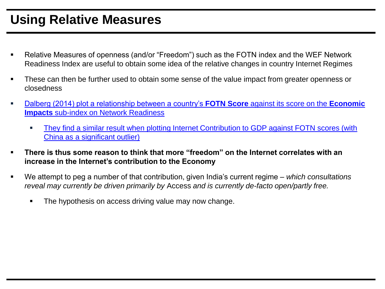## **Using Relative Measures**

- Relative Measures of openness (and/or "Freedom") such as the FOTN index and the WEF Network Readiness Index are useful to obtain some idea of the relative changes in country Internet Regimes
- **These can then be further used to obtain some sense of the value impact from greater openness or** closedness
- [Dalberg \(2014\) plot a relationship between a country's](#page-8-0) **FOTN Score** against its score on the **Economic Impacts** sub-index on Network Readiness
	- [They find a similar result when plotting Internet Contribution to GDP against FOTN scores \(with](#page-9-0)  China as a significant outlier)
- **There is thus some reason to think that more "freedom" on the Internet correlates with an increase in the Internet's contribution to the Economy**
- We attempt to peg a number of that contribution, given India's current regime *which consultations reveal may currently be driven primarily by* Access *and is currently de-facto open/partly free.*
	- The hypothesis on access driving value may now change.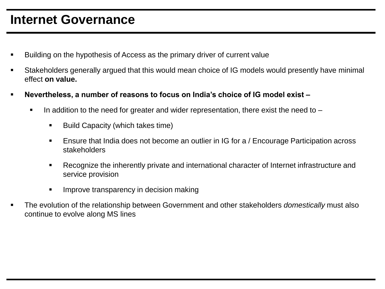#### **Internet Governance**

- Building on the hypothesis of Access as the primary driver of current value
- Stakeholders generally argued that this would mean choice of IG models would presently have minimal effect **on value.**
- **Nevertheless, a number of reasons to focus on India's choice of IG model exist –**
	- In addition to the need for greater and wider representation, there exist the need to  $-$ 
		- Build Capacity (which takes time)
		- Ensure that India does not become an outlier in IG for a / Encourage Participation across stakeholders
		- Recognize the inherently private and international character of Internet infrastructure and service provision
		- **IMPROPE IN 1999** Improve transparency in decision making
- The evolution of the relationship between Government and other stakeholders *domestically* must also continue to evolve along MS lines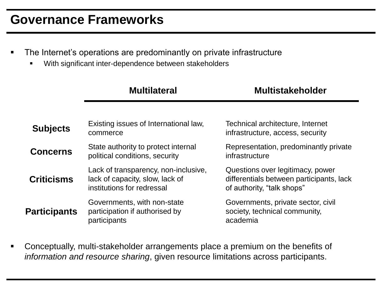#### **Governance Frameworks**

- The Internet's operations are predominantly on private infrastructure
	- With significant inter-dependence between stakeholders

| <b>Multilateral</b>                   | <b>Multistakeholder</b>                  |  |
|---------------------------------------|------------------------------------------|--|
|                                       |                                          |  |
| Existing issues of International law, | Technical architecture, Internet         |  |
| commerce                              | infrastructure, access, security         |  |
| State authority to protect internal   | Representation, predominantly private    |  |
| political conditions, security        | infrastructure                           |  |
| Lack of transparency, non-inclusive,  | Questions over legitimacy, power         |  |
| lack of capacity, slow, lack of       | differentials between participants, lack |  |
| institutions for redressal            | of authority, "talk shops"               |  |
| Governments, with non-state           | Governments, private sector, civil       |  |
| participation if authorised by        | society, technical community,            |  |
| participants                          | academia                                 |  |
|                                       |                                          |  |

 Conceptually, multi-stakeholder arrangements place a premium on the benefits of *information and resource sharing*, given resource limitations across participants.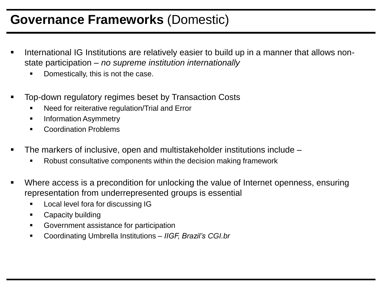#### **Governance Frameworks** (Domestic)

- International IG Institutions are relatively easier to build up in a manner that allows nonstate participation – *no supreme institution internationally*
	- Domestically, this is not the case.
- Top-down regulatory regimes beset by Transaction Costs
	- Need for reiterative regulation/Trial and Error
	- **Information Asymmetry**
	- Coordination Problems
- The markers of inclusive, open and multistakeholder institutions include
	- Robust consultative components within the decision making framework
- Where access is a precondition for unlocking the value of Internet openness, ensuring representation from underrepresented groups is essential
	- **Local level fora for discussing IG**
	- Capacity building
	- Government assistance for participation
	- Coordinating Umbrella Institutions *IIGF, Brazil's CGI.br*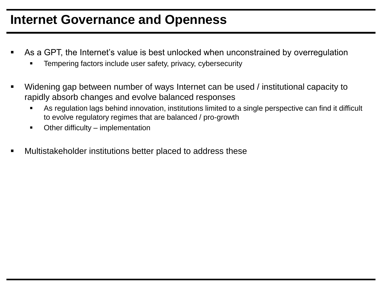#### **Internet Governance and Openness**

- As a GPT, the Internet's value is best unlocked when unconstrained by overregulation
	- Tempering factors include user safety, privacy, cybersecurity
- Widening gap between number of ways Internet can be used / institutional capacity to rapidly absorb changes and evolve balanced responses
	- As regulation lags behind innovation, institutions limited to a single perspective can find it difficult to evolve regulatory regimes that are balanced / pro-growth
	- Other difficulty implementation
- Multistakeholder institutions better placed to address these